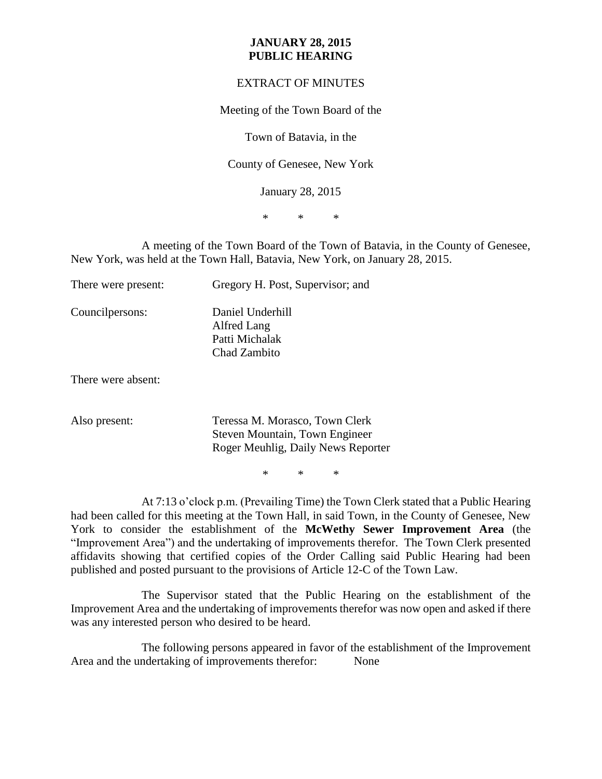## **JANUARY 28, 2015 PUBLIC HEARING**

## EXTRACT OF MINUTES

Meeting of the Town Board of the

Town of Batavia, in the

County of Genesee, New York

January 28, 2015

\* \* \*

A meeting of the Town Board of the Town of Batavia, in the County of Genesee, New York, was held at the Town Hall, Batavia, New York, on January 28, 2015.

| There were present: | Gregory H. Post, Supervisor; and                                  |
|---------------------|-------------------------------------------------------------------|
| Council persons:    | Daniel Underhill<br>Alfred Lang<br>Patti Michalak<br>Chad Zambito |
| There were absent:  |                                                                   |

Also present: Teressa M. Morasco, Town Clerk Steven Mountain, Town Engineer Roger Meuhlig, Daily News Reporter

\* \* \*

At 7:13 o'clock p.m. (Prevailing Time) the Town Clerk stated that a Public Hearing had been called for this meeting at the Town Hall, in said Town, in the County of Genesee, New York to consider the establishment of the **McWethy Sewer Improvement Area** (the "Improvement Area") and the undertaking of improvements therefor. The Town Clerk presented affidavits showing that certified copies of the Order Calling said Public Hearing had been published and posted pursuant to the provisions of Article 12-C of the Town Law.

The Supervisor stated that the Public Hearing on the establishment of the Improvement Area and the undertaking of improvements therefor was now open and asked if there was any interested person who desired to be heard.

The following persons appeared in favor of the establishment of the Improvement Area and the undertaking of improvements therefor: None